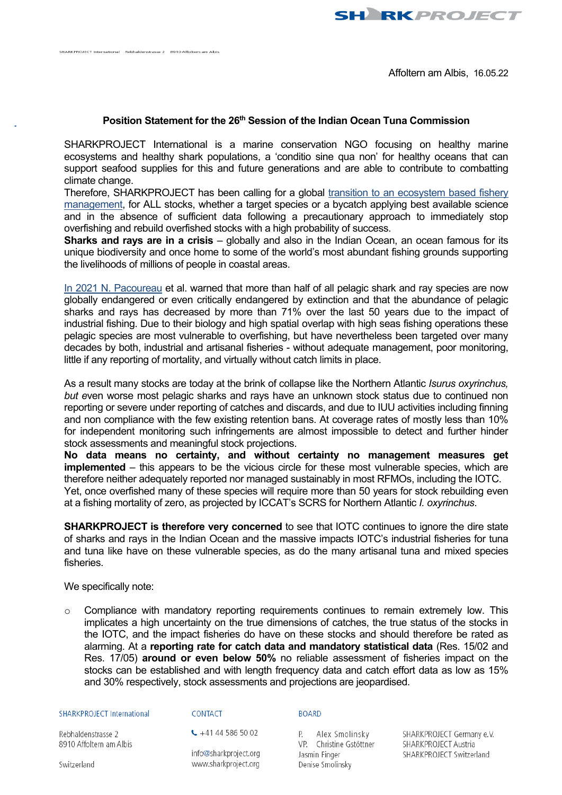**SH RKPROJECT** 

## **Position Statement for the 26th Session of the Indian Ocean Tuna Commission**

SHARKPROJECT International is a marine conservation NGO focusing on healthy marine ecosystems and healthy shark populations, a 'conditio sine qua non' for healthy oceans that can support seafood supplies for this and future generations and are able to contribute to combatting climate change.

Therefore, SHARKPROJECT has been calling for a global [transition to an ecosystem based fishery](https://www.sharkproject.org/media/mwsnwwlh/fishery_improvements-position_statement_sharkproject_english1.pdf)  [management,](https://www.sharkproject.org/media/mwsnwwlh/fishery_improvements-position_statement_sharkproject_english1.pdf) for ALL stocks, whether a target species or a bycatch applying best available science and in the absence of sufficient data following a precautionary approach to immediately stop overfishing and rebuild overfished stocks with a high probability of success.

**Sharks and rays are in a crisis** – globally and also in the Indian Ocean, an ocean famous for its unique biodiversity and once home to some of the world's most abundant fishing grounds supporting the livelihoods of millions of people in coastal areas.

[In 2021 N. Pacoureau](https://www.nature.com/articles/s41586-020-03173-9) et al. warned that more than half of all pelagic shark and ray species are now globally endangered or even critically endangered by extinction and that the abundance of pelagic sharks and rays has decreased by more than 71% over the last 50 years due to the impact of industrial fishing. Due to their biology and high spatial overlap with high seas fishing operations these pelagic species are most vulnerable to overfishing, but have nevertheless been targeted over many decades by both, industrial and artisanal fisheries - without adequate management, poor monitoring, little if any reporting of mortality, and virtually without catch limits in place.

As a result many stocks are today at the brink of collapse like the Northern Atlantic *Isurus oxyrinchus, but e*ven worse most pelagic sharks and rays have an unknown stock status due to continued non reporting or severe under reporting of catches and discards, and due to IUU activities including finning and non compliance with the few existing retention bans. At coverage rates of mostly less than 10% for independent monitoring such infringements are almost impossible to detect and further hinder stock assessments and meaningful stock projections.

**No data means no certainty, and without certainty no management measures get implemented** – this appears to be the vicious circle for these most vulnerable species, which are therefore neither adequately reported nor managed sustainably in most RFMOs, including the IOTC. Yet, once overfished many of these species will require more than 50 years for stock rebuilding even at a fishing mortality of zero, as projected by ICCAT's SCRS for Northern Atlantic *I. oxyrinchus*.

**SHARKPROJECT is therefore very concerned** to see that IOTC continues to ignore the dire state of sharks and rays in the Indian Ocean and the massive impacts IOTC's industrial fisheries for tuna and tuna like have on these vulnerable species, as do the many artisanal tuna and mixed species fisheries.

We specifically note:

 $\circ$  Compliance with mandatory reporting requirements continues to remain extremely low. This implicates a high uncertainty on the true dimensions of catches, the true status of the stocks in the IOTC, and the impact fisheries do have on these stocks and should therefore be rated as alarming. At a **reporting rate for catch data and mandatory statistical data** (Res. 15/02 and Res. 17/05) **around or even below 50%** no reliable assessment of fisheries impact on the stocks can be established and with length frequency data and catch effort data as low as 15% and 30% respectively, stock assessments and projections are jeopardised.

## SHARKPROJECT International

CONTACT

## **BOARD**

Rebhaldenstrasse 2 8910 Affoltern am Albis  $\leftarrow$  +41 44 586 50 02

info@sharkproject.org www.sharkproject.org

P. Alex Smolinsky VP. Christine Gstöttner Jasmin Finger Denise Smolinsky

SHARKPROJECT Germany e.V. SHARKPROJECT Austria SHARKPROJECT Switzerland

Switzerland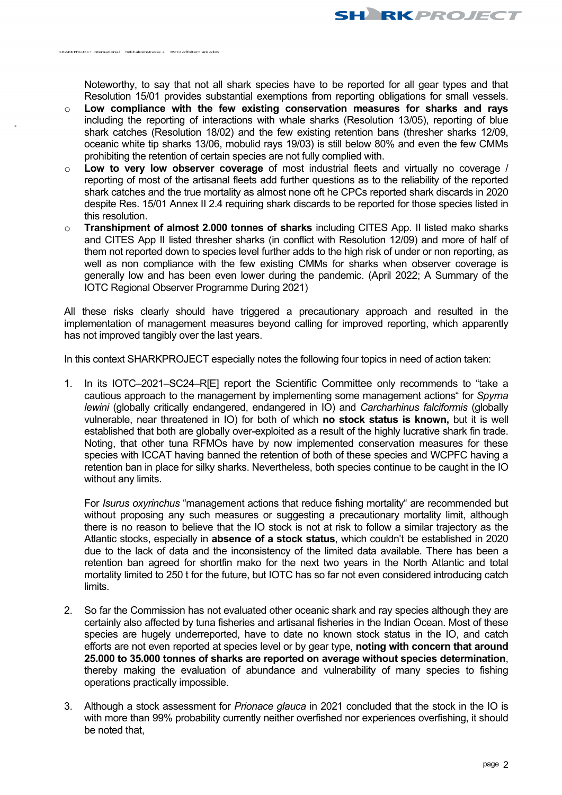Noteworthy, to say that not all shark species have to be reported for all gear types and that Resolution 15/01 provides substantial exemptions from reporting obligations for small vessels.

o **Low compliance with the few existing conservation measures for sharks and rays** including the reporting of interactions with whale sharks (Resolution 13/05), reporting of blue shark catches (Resolution 18/02) and the few existing retention bans (thresher sharks 12/09, oceanic white tip sharks 13/06, mobulid rays 19/03) is still below 80% and even the few CMMs prohibiting the retention of certain species are not fully complied with.

SHARKRROIECT International - Rebbaldenstrasse 2 - 8910 Affeltern am Albis

- o **Low to very low observer coverage** of most industrial fleets and virtually no coverage / reporting of most of the artisanal fleets add further questions as to the reliability of the reported shark catches and the true mortality as almost none oft he CPCs reported shark discards in 2020 despite Res. 15/01 Annex II 2.4 requiring shark discards to be reported for those species listed in this resolution.
- o **Transhipment of almost 2.000 tonnes of sharks** including CITES App. II listed mako sharks and CITES App II listed thresher sharks (in conflict with Resolution 12/09) and more of half of them not reported down to species level further adds to the high risk of under or non reporting, as well as non compliance with the few existing CMMs for sharks when observer coverage is generally low and has been even lower during the pandemic. (April 2022; A Summary of the IOTC Regional Observer Programme During 2021)

All these risks clearly should have triggered a precautionary approach and resulted in the implementation of management measures beyond calling for improved reporting, which apparently has not improved tangibly over the last years.

In this context SHARKPROJECT especially notes the following four topics in need of action taken:

1. In its IOTC–2021–SC24–R[E] report the Scientific Committee only recommends to "take a cautious approach to the management by implementing some management actions" for *Spyrna lewini* (globally critically endangered, endangered in IO) and *Carcharhinus falciformis* (globally vulnerable, near threatened in IO) for both of which **no stock status is known,** but it is well established that both are globally over-exploited as a result of the highly lucrative shark fin trade. Noting, that other tuna RFMOs have by now implemented conservation measures for these species with ICCAT having banned the retention of both of these species and WCPFC having a retention ban in place for silky sharks. Nevertheless, both species continue to be caught in the IO without any limits.

For *Isurus oxyrinchus* "management actions that reduce fishing mortality" are recommended but without proposing any such measures or suggesting a precautionary mortality limit, although there is no reason to believe that the IO stock is not at risk to follow a similar trajectory as the Atlantic stocks, especially in **absence of a stock status**, which couldn't be established in 2020 due to the lack of data and the inconsistency of the limited data available. There has been a retention ban agreed for shortfin mako for the next two years in the North Atlantic and total mortality limited to 250 t for the future, but IOTC has so far not even considered introducing catch **limits** 

- 2. So far the Commission has not evaluated other oceanic shark and ray species although they are certainly also affected by tuna fisheries and artisanal fisheries in the Indian Ocean. Most of these species are hugely underreported, have to date no known stock status in the IO, and catch efforts are not even reported at species level or by gear type, **noting with concern that around 25.000 to 35.000 tonnes of sharks are reported on average without species determination**, thereby making the evaluation of abundance and vulnerability of many species to fishing operations practically impossible.
- 3. Although a stock assessment for *Prionace glauca* in 2021 concluded that the stock in the IO is with more than 99% probability currently neither overfished nor experiences overfishing, it should be noted that,